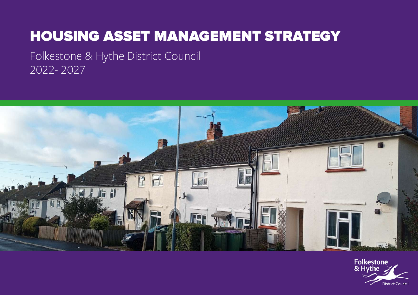# HOUSING ASSET MANAGEMENT STRATEGY

Folkestone & Hythe District Council 2022- 2027



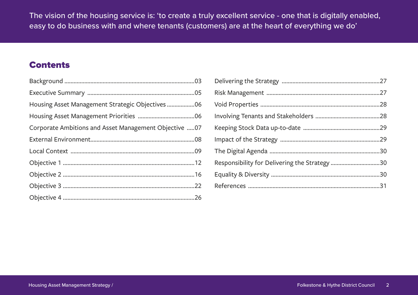The vision of the housing service is: 'to create a truly excellent service - one that is digitally enabled, easy to do business with and where tenants (customers) are at the heart of everything we do'

### **Contents**

| Corporate Ambitions and Asset Management Objective 07 |  |
|-------------------------------------------------------|--|
|                                                       |  |
|                                                       |  |
|                                                       |  |
|                                                       |  |
|                                                       |  |
|                                                       |  |
|                                                       |  |

| Void Properties ……………………………………………………………………28  |  |
|-----------------------------------------------|--|
|                                               |  |
|                                               |  |
|                                               |  |
|                                               |  |
| Responsibility for Delivering the Strategy 30 |  |
|                                               |  |
|                                               |  |
|                                               |  |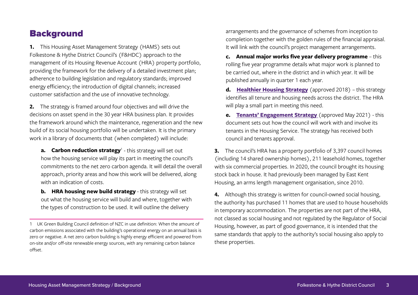### <span id="page-2-0"></span>Background

**1.** This Housing Asset Management Strategy (HAMS) sets out Folkestone & Hythe District Council's (F&HDC) approach to the management of its Housing Revenue Account (HRA) property portfolio, providing the framework for the delivery of a detailed investment plan; adherence to building legislation and regulatory standards; improved energy efficiency; the introduction of digital channels; increased customer satisfaction and the use of innovative technology.

**2.** The strategy is framed around four objectives and will drive the decisions on asset spend in the 30 year HRA business plan. It provides the framework around which the maintenance, regeneration and the new build of its social housing portfolio will be undertaken. It is the primary work in a library of documents that (when completed) will include:

a. Carbon reduction strategy<sup>1</sup> - this strategy will set out how the housing service will play its part in meeting the council's commitments to the net zero carbon agenda. It will detail the overall approach, priority areas and how this work will be delivered, along with an indication of costs.

**b. HRA housing new build strategy** - this strategy will set out what the housing service will build and where, together with the types of construction to be used. It will outline the delivery

arrangements and the governance of schemes from inception to completion together with the golden rules of the financial appraisal. It will link with the council's project management arrangements.

**c. Annual major works five year delivery programme** – this rolling five year programme details what major work is planned to be carried out, where in the district and in which year. It will be published annually in quarter 1 each year.

**d. [Healthier Housing Strategy](https://www.folkestone-hythe.gov.uk/media/1102/Healthier-Housing-Strategy-2018-2023/pdf/Folkestone__Hythe_Healthier_Housing_Strategy_2018-2023.pdf?m=637544430954070000)** (approved 2018) – this strategy identifies all tenure and housing needs across the district. The HRA will play a small part in meeting this need.

**e. [Tenants' Engagement Strategy](https://www.folkestone-hythe.gov.uk/media/3509/Tenant-Engagement-Strategy-2021/pdf/FHDC_Tenant_Engagement_Strategy_2021.pdf?m=637554007526770000)** (approved May 2021) - this document sets out how the council will work with and involve its tenants in the Housing Service. The strategy has received both council and tenants approval.

**3.** The council's HRA has a property portfolio of 3,397 council homes (including 14 shared ownership homes), 211 leasehold homes, together with six commercial properties. In 2020, the council brought its housing stock back in house. It had previously been managed by East Kent Housing, an arms length management organisation, since 2010.

**4.** Although this strategy is written for council-owned social housing, the authority has purchased 11 homes that are used to house households in temporary accommodation. The properties are not part of the HRA, not classed as social housing and not regulated by the Regulator of Social Housing, however, as part of good governance, it is intended that the same standards that apply to the authority's social housing also apply to these properties.

<sup>1</sup> UK Green Building Council definition of NZC in use definition: When the amount of carbon emissions associated with the building's operational energy on an annual basis is zero or negative. A net zero carbon building is highly energy efficient and powered from on-site and/or off-site renewable energy sources, with any remaining carbon balance offset.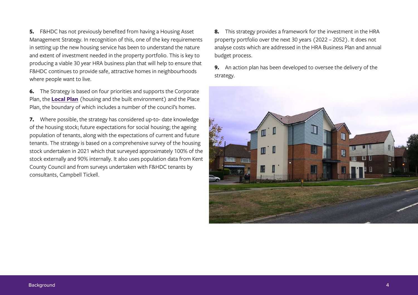**5.** F&HDC has not previously benefited from having a Housing Asset Management Strategy. In recognition of this, one of the key requirements in setting up the new housing service has been to understand the nature and extent of investment needed in the property portfolio. This is key to producing a viable 30 year HRA business plan that will help to ensure that F&HDC continues to provide safe, attractive homes in neighbourhoods where people want to live.

**6.** The Strategy is based on four priorities and supports the Corporate Plan, the **[Local Plan](https://folkestone-hythe.gov.uk/media/770/Places-and-Policies-Local-Plan-Submission-Draft-February-2018/pdf/Places_and_Policies_Submission_Draft_Feb_2018.pdf?m=637284404859170000)** (housing and the built environment) and the Place Plan, the boundary of which includes a number of the council's homes.

**7.** Where possible, the strategy has considered up-to- date knowledge of the housing stock; future expectations for social housing; the ageing population of tenants, along with the expectations of current and future tenants. The strategy is based on a comprehensive survey of the housing stock undertaken in 2021 which that surveyed approximately 100% of the stock externally and 90% internally. It also uses population data from Kent County Council and from surveys undertaken with F&HDC tenants by consultants, Campbell Tickell.

**8.** This strategy provides a framework for the investment in the HRA property portfolio over the next 30 years (2022 – 2052). It does not analyse costs which are addressed in the HRA Business Plan and annual budget process.

**9.** An action plan has been developed to oversee the delivery of the strategy.

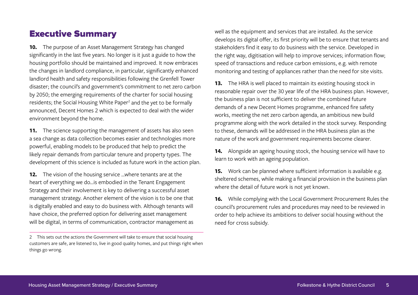### <span id="page-4-0"></span>Executive Summary

**10.** The purpose of an Asset Management Strategy has changed significantly in the last five years. No longer is it just a guide to how the housing portfolio should be maintained and improved. It now embraces the changes in landlord compliance, in particular, significantly enhanced landlord health and safety responsibilities following the Grenfell Tower disaster; the council's and government's commitment to net zero carbon by 2050; the emerging requirements of the charter for social housing residents; the Social Housing White Paper<sup>2</sup> and the yet to be formally announced, Decent Homes 2 which is expected to deal with the wider environment beyond the home.

**11.** The science supporting the management of assets has also seen a sea change as data collection becomes easier and technologies more powerful, enabling models to be produced that help to predict the likely repair demands from particular tenure and property types. The development of this science is included as future work in the action plan.

**12.** The vision of the housing service …where tenants are at the heart of everything we do…is embodied in the Tenant Engagement Strategy and their involvement is key to delivering a successful asset management strategy. Another element of the vision is to be one that is digitally enabled and easy to do business with. Although tenants will have choice, the preferred option for delivering asset management will be digital, in terms of communication, contractor management as well as the equipment and services that are installed. As the service develops its digital offer, its first priority will be to ensure that tenants and stakeholders find it easy to do business with the service. Developed in the right way, digitisation will help to improve services; information flow; speed of transactions and reduce carbon emissions, e.g. with remote monitoring and testing of appliances rather than the need for site visits.

**13.** The HRA is well placed to maintain its existing housing stock in reasonable repair over the 30 year life of the HRA business plan. However, the business plan is not sufficient to deliver the combined future demands of a new Decent Homes programme, enhanced fire safety works, meeting the net zero carbon agenda, an ambitious new build programme along with the work detailed in the stock survey. Responding to these, demands will be addressed in the HRA business plan as the nature of the work and government requirements become clearer.

**14.** Alongside an ageing housing stock, the housing service will have to learn to work with an ageing population.

**15.** Work can be planned where sufficient information is available e.g. sheltered schemes, while making a financial provision in the business plan where the detail of future work is not yet known.

**16.** While complying with the Local Government Procurement Rules the council's procurement rules and procedures may need to be reviewed in order to help achieve its ambitions to deliver social housing without the need for cross subsidy.

<sup>2</sup> This sets out the actions the Government will take to ensure that social housing customers are safe, are listened to, live in good quality homes, and put things right when things go wrong.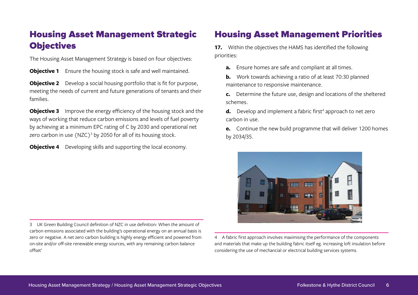# <span id="page-5-0"></span>Housing Asset Management Strategic **Objectives**

The Housing Asset Management Strategy is based on four objectives:

**Objective 1** Ensure the housing stock is safe and well maintained.

**Objective 2** Develop a social housing portfolio that is fit for purpose, meeting the needs of current and future generations of tenants and their families.

**Objective 3** Improve the energy efficiency of the housing stock and the ways of working that reduce carbon emissions and levels of fuel poverty by achieving at a minimum EPC rating of C by 2030 and operational net zero carbon in use  $(NZC)^3$  by 2050 for all of its housing stock.

**Objective 4** Developing skills and supporting the local economy.

# Housing Asset Management Priorities

**17.** Within the objectives the HAMS has identified the following priorities:

**a.** Ensure homes are safe and compliant at all times.

**b.** Work towards achieving a ratio of at least 70:30 planned maintenance to responsive maintenance.

**c.** Determine the future use, design and locations of the sheltered schemes.

**d.** Develop and implement a fabric first<sup>4</sup> approach to net zero carbon in use.

**e.** Continue the new build programme that will deliver 1200 homes by 2034/35.



3 UK Green Building Council definition of NZC in use definition: When the amount of carbon emissions associated with the building's operational energy on an annual basis is zero or negative. A net zero carbon building is highly energy efficient and powered from on-site and/or off-site renewable energy sources, with any remaining carbon balance offset'

4 A fabric first approach involves maximising the performance of the components and materials that make up the building fabric itself eg. increasing loft insulation before considering the use of mechancial or electrical building services systems.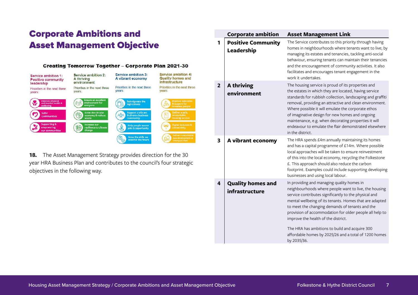# <span id="page-6-0"></span>Corporate Ambitions and Asset Management Objective

#### **Creating Tomorrow Together - Corporate Plan 2021-30**



**18.** The Asset Management Strategy provides direction for the 30 year HRA Business Plan and contributes to the council's four strategic objectives in the following way.

|                | <b>Corporate ambition</b>                  | <b>Asset Management Link</b>                                                                                                                                                                                                                                                                                                                                                                                                                                                                           |
|----------------|--------------------------------------------|--------------------------------------------------------------------------------------------------------------------------------------------------------------------------------------------------------------------------------------------------------------------------------------------------------------------------------------------------------------------------------------------------------------------------------------------------------------------------------------------------------|
| 1              | <b>Positive Community</b><br>Leadership    | The Service contributes to this priority through having<br>homes in neighbourhoods where tenants want to live; by<br>managing its estates and tenancies, tackling anti-social<br>behaviour, ensuring tenants can maintain their tenancies<br>and the encouragement of community activities. It also<br>facilitates and encourages tenant engagement in the<br>work it undertakes.                                                                                                                      |
| $\overline{2}$ | A thriving<br>environment                  | The housing service is proud of its properties and<br>the estates in which they are located, having service<br>standards for rubbish collection, landscaping and graffiti<br>removal, providing an attractive and clean environment.<br>Where possible it will emulate the corporate ethos<br>of imaginative design for new homes and ongoing<br>maintenance, e.g. when decorating properties it will<br>endeavour to emulate the flair demonstrated elsewhere<br>in the district.                     |
| 3              | A vibrant economy                          | The HRA spends £4m annually maintaining its homes<br>and has a capital programme of £14m. Where possible<br>local approaches will be taken to ensure reinvestment<br>of this into the local economy, recycling the Folkestone<br>£. This approach should also reduce the carbon<br>footprint. Examples could include supporting developing<br>businesses and using local labour.                                                                                                                       |
| 4              | <b>Quality homes and</b><br>infrastructure | In providing and managing quality homes in<br>neighbourhoods where people want to live, the housing<br>service contributes significantly to the physical and<br>mental wellbeing of its tenants. Homes that are adapted<br>to meet the changing demands of tenants and the<br>provision of accommodation for older people all help to<br>improve the health of the district.<br>The HRA has ambitions to build and acquire 300<br>affordable homes by 2025/26 and a total of 1200 homes<br>by 2035/36. |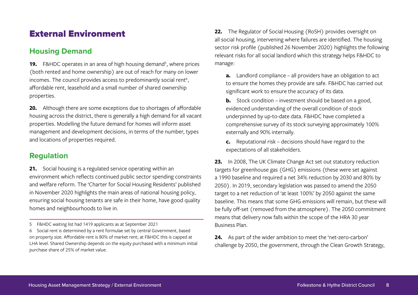### <span id="page-7-0"></span>External Environment

### **Housing Demand**

**19.** F&HDC operates in an area of high housing demand<sup>5</sup>, where prices (both rented and home ownership) are out of reach for many on lower incomes. The council provides access to predominantly social rent<sup>6</sup>, affordable rent, leasehold and a small number of shared ownership properties.

**20.** Although there are some exceptions due to shortages of affordable housing across the district, there is generally a high demand for all vacant properties. Modelling the future demand for homes will inform asset management and development decisions, in terms of the number, types and locations of properties required.

### **Regulation**

**21.** Social housing is a regulated service operating within an environment which reflects continued public sector spending constraints and welfare reform. The 'Charter for Social Housing Residents' published in November 2020 highlights the main areas of national housing policy, ensuring social housing tenants are safe in their home, have good quality homes and neighbourhoods to live in.

6 Social rent is determined by a rent formulae set by central Government, based on property size. Affordable rent is 80% of market rent; at F&HDC this is capped at LHA level. Shared Ownership depends on the equity purchased with a minimum initial purchase share of 25% of market value.

**22.** The Regulator of Social Housing (RoSH) provides oversight on all social housing, intervening where failures are identified. The housing sector risk profile (published 26 November 2020) highlights the following relevant risks for all social landlord which this strategy helps F&HDC to manage:

**a.** Landlord compliance – all providers have an obligation to act to ensure the homes they provide are safe. F&HDC has carried out significant work to ensure the accuracy of its data.

**b.** Stock condition – investment should be based on a good, evidenced understanding of the overall condition of stock underpinned by up-to-date data. F&HDC have completed a comprehensive survey of its stock surveying approximately 100% externally and 90% internally.

**c.** Reputational risk – decisions should have regard to the expectations of all stakeholders.

**23.** In 2008, The UK Climate Change Act set out statutory reduction targets for greenhouse gas (GHG) emissions (these were set against a 1990 baseline and required a net 34% reduction by 2030 and 80% by 2050). In 2019, secondary legislation was passed to amend the 2050 target to a net reduction of 'at least 100%' by 2050 against the same baseline. This means that some GHG emissions will remain, but these will be fully off-set (removed from the atmosphere). The 2050 commitment means that delivery now falls within the scope of the HRA 30 year Business Plan.

**24.** As part of the wider ambition to meet the 'net-zero-carbon' challenge by 2050, the government, through the Clean Growth Strategy,

<sup>5</sup> F&HDC waiting list had 1419 applicants as at September 2021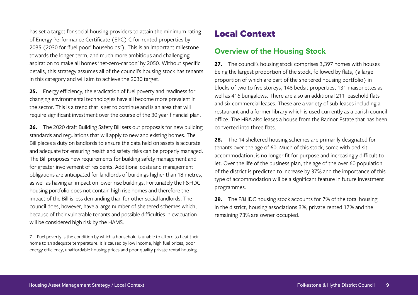<span id="page-8-0"></span>has set a target for social housing providers to attain the minimum rating of Energy Performance Certificate (EPC) C for rented properties by 2035 (2030 for 'fuel poor' households<sup>7</sup>). This is an important milestone towards the longer term, and much more ambitious and challenging aspiration to make all homes 'net-zero-carbon' by 2050. Without specific details, this strategy assumes all of the council's housing stock has tenants in this category and will aim to achieve the 2030 target.

**25.** Energy efficiency, the eradication of fuel poverty and readiness for changing environmental technologies have all become more prevalent in the sector. This is a trend that is set to continue and is an area that will require significant investment over the course of the 30 year financial plan.

**26.** The 2020 draft Building Safety Bill sets out proposals for new building standards and regulations that will apply to new and existing homes. The Bill places a duty on landlords to ensure the data held on assets is accurate and adequate for ensuring health and safety risks can be properly managed. The Bill proposes new requirements for building safety management and for greater involvement of residents. Additional costs and management obligations are anticipated for landlords of buildings higher than 18 metres, as well as having an impact on lower rise buildings. Fortunately the F&HDC housing portfolio does not contain high rise homes and therefore the impact of the Bill is less demanding than for other social landlords. The council does, however, have a large number of sheltered schemes which, because of their vulnerable tenants and possible difficulties in evacuation will be considered high risk by the HAMS.

## Local Context

### **Overview of the Housing Stock**

**27.** The council's housing stock comprises 3,397 homes with houses being the largest proportion of the stock, followed by flats, (a large proportion of which are part of the sheltered housing portfolio) in blocks of two to five storeys, 146 bedsit properties, 131 maisonettes as well as 416 bungalows. There are also an additional 211 leasehold flats and six commercial leases. These are a variety of sub-leases including a restaurant and a former library which is used currently as a parish council office. The HRA also leases a house from the Radnor Estate that has been converted into three flats.

**28.** The 14 sheltered housing schemes are primarily designated for tenants over the age of 60. Much of this stock, some with bed-sit accommodation, is no longer fit for purpose and increasingly difficult to let. Over the life of the business plan, the age of the over 60 population of the district is predicted to increase by 37% and the importance of this type of accommodation will be a significant feature in future investment programmes.

**29.** The F&HDC housing stock accounts for 7% of the total housing in the district, housing associations 3%, private rented 17% and the remaining 73% are owner occupied.

<sup>7</sup> Fuel poverty is the condition by which a household is unable to afford to heat their home to an adequate temperature. It is caused by low income, high fuel prices, poor energy efficiency, unaffordable housing prices and poor quality private rental housing.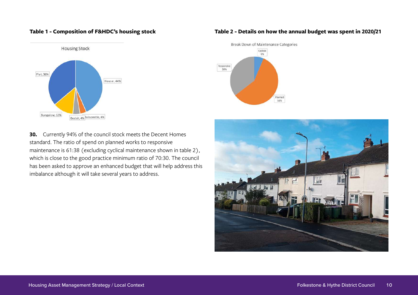#### **Table 1 - Composition of F&HDC's housing stock**



**30.** Currently 94% of the council stock meets the Decent Homes standard. The ratio of spend on planned works to responsive maintenance is 61:38 (excluding cyclical maintenance shown in table 2), which is close to the good practice minimum ratio of 70:30. The council has been asked to approve an enhanced budget that will help address this imbalance although it will take several years to address.

#### **Table 2 - Details on how the annual budget was spent in 2020/21**



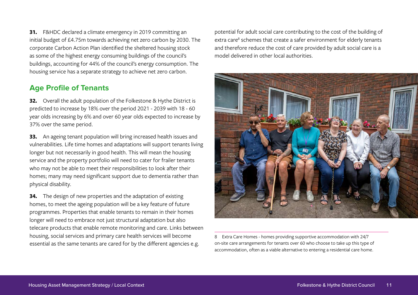**31.** F&HDC declared a climate emergency in 2019 committing an initial budget of £4.75m towards achieving net zero carbon by 2030. The corporate Carbon Action Plan identified the sheltered housing stock as some of the highest energy consuming buildings of the council's buildings, accounting for 44% of the council's energy consumption. The housing service has a separate strategy to achieve net zero carbon.

### **Age Profile of Tenants**

**32.** Overall the adult population of the Folkestone & Hythe District is predicted to increase by 18% over the period 2021 - 2039 with 18 - 60 year olds increasing by 6% and over 60 year olds expected to increase by 37% over the same period.

**33.** An ageing tenant population will bring increased health issues and vulnerabilities. Life time homes and adaptations will support tenants living longer but not necessarily in good health. This will mean the housing service and the property portfolio will need to cater for frailer tenants who may not be able to meet their responsibilities to look after their homes; many may need significant support due to dementia rather than physical disability.

**34.** The design of new properties and the adaptation of existing homes, to meet the ageing population will be a key feature of future programmes. Properties that enable tenants to remain in their homes longer will need to embrace not just structural adaptation but also telecare products that enable remote monitoring and care. Links between housing, social services and primary care health services will become essential as the same tenants are cared for by the different agencies e.g.

potential for adult social care contributing to the cost of the building of extra care<sup>s</sup> schemes that create a safer environment for elderly tenants and therefore reduce the cost of care provided by adult social care is a model delivered in other local authorities.



8 Extra Care Homes - homes providing supportive accommodation with 24/7 on-site care arrangements for tenants over 60 who choose to take up this type of accommodation, often as a viable alternative to entering a residential care home.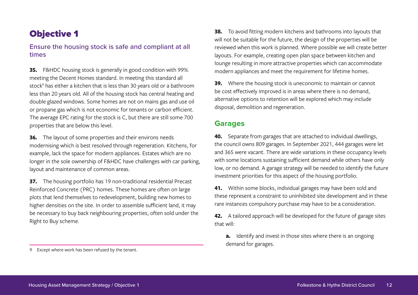# <span id="page-11-0"></span>Objective 1

### Ensure the housing stock is safe and compliant at all times

**35.** F&HDC housing stock is generally in good condition with 99% meeting the Decent Homes standard. In meeting this standard all stock<sup>9</sup> has either a kitchen that is less than 30 years old or a bathroom less than 20 years old. All of the housing stock has central heating and double glazed windows. Some homes are not on mains gas and use oil or propane gas which is not economic for tenants or carbon efficient. The average EPC rating for the stock is C, but there are still some 700 properties that are below this level.

**36.** The layout of some properties and their environs needs modernising which is best resolved through regeneration. Kitchens, for example, lack the space for modern appliances. Estates which are no longer in the sole ownership of F&HDC have challenges with car parking, layout and maintenance of common areas.

**37.** The housing portfolio has 19 non-traditional residential Precast Reinforced Concrete (PRC) homes. These homes are often on large plots that lend themselves to redevelopment, building new homes to higher densities on the site. In order to assemble sufficient land, it may be necessary to buy back neighbouring properties, often sold under the Right to Buy scheme.

9 Except where work has been refused by the tenant.

**38.** To avoid fitting modern kitchens and bathrooms into layouts that will not be suitable for the future, the design of the properties will be reviewed when this work is planned. Where possible we will create better layouts. For example, creating open plan space between kitchen and lounge resulting in more attractive properties which can accommodate modern appliances and meet the requirement for lifetime homes.

**39.** Where the housing stock is uneconomic to maintain or cannot be cost effectively improved is in areas where there is no demand, alternative options to retention will be explored which may include disposal, demolition and regeneration.

### **Garages**

**40.** Separate from garages that are attached to individual dwellings, the council owns 809 garages. In September 2021, 444 garages were let and 365 were vacant. There are wide variations in these occupancy levels with some locations sustaining sufficient demand while others have only low, or no demand. A garage strategy will be needed to identify the future investment priorities for this aspect of the housing portfolio.

**41.** Within some blocks, individual garages may have been sold and these represent a constraint to uninhibited site development and in these rare instances compulsory purchase may have to be a consideration.

**42.** A tailored approach will be developed for the future of garage sites that will:

**a.** Identify and invest in those sites where there is an ongoing demand for garages.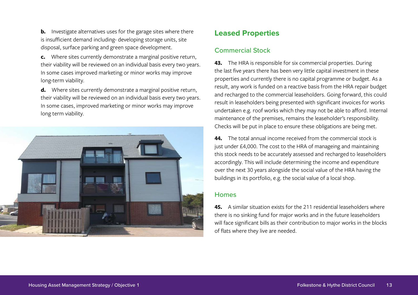**b.** Investigate alternatives uses for the garage sites where there is insufficient demand including- developing storage units, site disposal, surface parking and green space development.

**c.** Where sites currently demonstrate a marginal positive return, their viability will be reviewed on an individual basis every two years. In some cases improved marketing or minor works may improve long-term viability.

**d.** Where sites currently demonstrate a marginal positive return, their viability will be reviewed on an individual basis every two years. In some cases, improved marketing or minor works may improve long term viability.



### **Leased Properties**

#### Commercial Stock

**43.** The HRA is responsible for six commercial properties. During the last five years there has been very little capital investment in these properties and currently there is no capital programme or budget. As a result, any work is funded on a reactive basis from the HRA repair budget and recharged to the commercial leaseholders. Going forward, this could result in leaseholders being presented with significant invoices for works undertaken e.g. roof works which they may not be able to afford. Internal maintenance of the premises, remains the leaseholder's responsibility. Checks will be put in place to ensure these obligations are being met.

**44.** The total annual income received from the commercial stock is just under £4,000. The cost to the HRA of manageing and maintaining this stock needs to be accurately assessed and recharged to leaseholders accordingly. This will include determining the income and expenditure over the next 30 years alongside the social value of the HRA having the buildings in its portfolio, e.g. the social value of a local shop.

#### **Homes**

**45.** A similar situation exists for the 211 residential leaseholders where there is no sinking fund for major works and in the future leaseholders will face significant bills as their contribution to major works in the blocks of flats where they live are needed.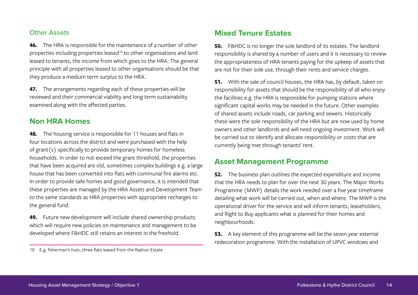#### Other Assets

**46.** The HRA is responsible for the maintenance of a number of other properties including properties leased<sup>10</sup> to other organisations and land leased to tenants, the income from which goes to the HRA. The general principle with all properties leased to other organisations should be that they produce a medium term surplus to the HRA.

**47.** The arrangements regarding each of these properties will be reviewed and their commercial viability and long term sustainability examined along with the affected parties.

### **Non HRA Homes**

**48.** The housing service is responsible for 11 houses and flats in four locations across the district and were purchased with the help of grant(s) specifically to provide temporary homes for homeless households. In order to not exceed the grant threshold, the properties that have been acquired are old, sometimes complex buildings e.g. a large house that has been converted into flats with communal fire alarms etc. In order to provide safe homes and good governance, it is intended that these properties are managed by the HRA Assets and Development Team to the same standards as HRA properties with appropriate recharges to the general fund.

**49.** Future new development will include shared ownership products which will require new policies on maintenance and management to be developed where F&HDC still retains an interest in the freehold.

10 E.g. fisherman's huts; three flats leased from the Radnor Estate

### **Mixed Tenure Estates**

**50.** F&HDC is no longer the sole landlord of its estates. The landlord responsibility is shared by a number of users and it is necessary to review the appropriateness of HRA tenants paying for the upkeep of assets that are not for their sole use, through their rents and service charges.

**51.** With the sale of council houses, the HRA has, by default, taken on responsibility for assets that should be the responsibility of all who enjoy the facilities e.g. the HRA is responsible for pumping stations where significant capital works may be needed in the future. Other examples of shared assets include roads, car parking and sewers. Historically these were the sole responsibility of the HRA but are now used by home owners and other landlords and will need ongoing investment. Work will be carried out to identify and allocate responsibility or costs that are currently being met through tenants' rent.

### **Asset Management Programme**

**52.** The business plan outlines the expected expenditure and income that the HRA needs to plan for over the next 30 years. The Major Works Programme (MWP) details the work needed over a five year timeframe detailing what work will be carried out, when and where. The MWP is the operational driver for the service and will inform tenants, leaseholders, and Right to Buy applicants what is planned for their homes and neighbourhoods.

**53.** A key element of this programme will be the seven year external redecoration programme. With the installation of UPVC windows and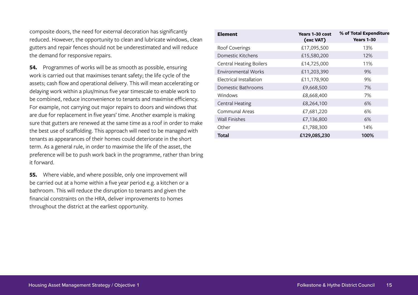composite doors, the need for external decoration has significantly reduced. However, the opportunity to clean and lubricate windows, clean gutters and repair fences should not be underestimated and will reduce the demand for responsive repairs.

**54.** Programmes of works will be as smooth as possible, ensuring work is carried out that maximises tenant safety; the life cycle of the assets; cash flow and operational delivery. This will mean accelerating or delaying work within a plus/minus five year timescale to enable work to be combined, reduce inconvenience to tenants and maximise efficiency. For example, not carrying out major repairs to doors and windows that are due for replacement in five years' time. Another example is making sure that gutters are renewed at the same time as a roof in order to make the best use of scaffolding. This approach will need to be managed with tenants as appearances of their homes could deteriorate in the short term. As a general rule, in order to maximise the life of the asset, the preference will be to push work back in the programme, rather than bring it forward.

**55.** Where viable, and where possible, only one improvement will be carried out at a home within a five year period e.g. a kitchen or a bathroom. This will reduce the disruption to tenants and given the financial constraints on the HRA, deliver improvements to homes throughout the district at the earliest opportunity.

| <b>Element</b>                 | Years 1-30 cost<br>(exc VAT) | % of Total Expenditure<br><b>Years 1-30</b> |
|--------------------------------|------------------------------|---------------------------------------------|
| Roof Coverings                 | £17,095,500                  | 13%                                         |
| Domestic Kitchens              | £15,580,200                  | 12%                                         |
| <b>Central Heating Boilers</b> | £14,725,000                  | 11%                                         |
| <b>Environmental Works</b>     | £11,203,390                  | 9%                                          |
| Electrical Installation        | £11,178,900                  | 9%                                          |
| Domestic Bathrooms             | £9,668,500                   | 7%                                          |
| Windows                        | £8,668,400                   | 7%                                          |
| <b>Central Heating</b>         | £8,264,100                   | 6%                                          |
| Communal Areas                 | £7,681,220                   | 6%                                          |
| <b>Wall Finishes</b>           | £7,136,800                   | 6%                                          |
| Other                          | £1,788,300                   | 14%                                         |
| Total                          | £129,085,230                 | 100%                                        |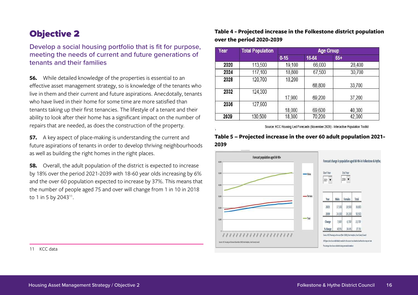# <span id="page-15-0"></span>Objective 2

Develop a social housing portfolio that is fit for purpose, meeting the needs of current and future generations of tenants and their families

**56.** While detailed knowledge of the properties is essential to an effective asset management strategy, so is knowledge of the tenants who live in them and their current and future aspirations. Anecdotally, tenants who have lived in their home for some time are more satisfied than tenants taking up their first tenancies. The lifestyle of a tenant and their ability to look after their home has a significant impact on the number of repairs that are needed, as does the construction of the property.

**57.** A key aspect of place-making is understanding the current and future aspirations of tenants in order to develop thriving neighbourhoods as well as building the right homes in the right places.

**58.** Overall, the adult population of the district is expected to increase by 18% over the period 2021-2039 with 18-60 year olds increasing by 6% and the over 60 population expected to increase by 37%. This means that the number of people aged 75 and over will change from 1 in 10 in 2018 to 1 in 5 by 2043<sup>11</sup>.

**Table 4 - Projected increase in the Folkestone district population over the period 2020-2039** 

| Year | <b>Total Population</b> | <b>Age Group</b> |        |        |
|------|-------------------------|------------------|--------|--------|
|      |                         | $0 - 15$         | 16-64  | $65+$  |
| 2020 | 113,500                 | 19,100           | 66,000 | 28,400 |
| 2024 | 117,100                 | 18,800           | 67,500 | 30,700 |
| 2028 | 120,700                 | 18,200           | 68,800 | 33,700 |
| 2032 | 124,300                 | 17,900           | 69,200 | 37,200 |
| 2036 | 127,900                 | 18,000           | 69,600 | 40,300 |
| 2039 | 130,500                 | 18,300           | 70,200 | 42,000 |

Source: KCC Housing Led Forecasts (November 2020) - Interactive Population Toolkit

#### **Table 5 – Projected increase in the over 60 adult population 2021- 2039**



11 KCC data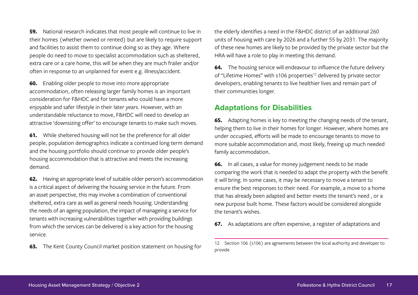**59.** National research indicates that most people will continue to live in their homes (whether owned or rented) but are likely to require support and facilities to assist them to continue doing so as they age. Where people do need to move to specialist accommodation such as sheltered, extra care or a care home, this will be when they are much frailer and/or often in response to an unplanned for event e.g. illness/accident.

**60.** Enabling older people to move into more appropriate accommodation, often releasing larger family homes is an important consideration for F&HDC and for tenants who could have a more enjoyable and safer lifestyle in their later years. However, with an understandable reluctance to move, F&HDC will need to develop an attractive 'downsizing offer' to encourage tenants to make such moves.

**61.** While sheltered housing will not be the preference for all older people, population demographics indicate a continued long term demand and the housing portfolio should continue to provide older people's housing accommodation that is attractive and meets the increasing demand.

**62.** Having an appropriate level of suitable older person's accommodation is a critical aspect of delivering the housing service in the future. From an asset perspective, this may involve a combination of conventional sheltered, extra care as well as general needs housing. Understanding the needs of an ageing population, the impact of manageing a service for tenants with increasing vulnerabilities together with providing buildings from which the services can be delivered is a key action for the housing service.

**63.** The Kent County Council market position statement on housing for

the elderly identifies a need in the F&HDC district of an additional 260 units of housing with care by 2026 and a further 55 by 2031. The majority of these new homes are likely to be provided by the private sector but the HRA will have a role to play in meeting this demand.

**64.** The housing service will endeavour to influence the future delivery of "Lifetime Homes" with s106 properties<sup>12</sup> delivered by private sector developers, enabling tenants to live healthier lives and remain part of their communities longer.

### **Adaptations for Disabilities**

**65.** Adapting homes is key to meeting the changing needs of the tenant, helping them to live in their homes for longer. However, where homes are under occupied, efforts will be made to encourage tenants to move to more suitable accommodation and, most likely, freeing up much needed family accommodation.

**66.** In all cases, a value for money judgement needs to be made comparing the work that is needed to adapt the property with the benefit it will bring. In some cases, it may be necessary to move a tenant to ensure the best responses to their need. For example, a move to a home that has already been adapted and better meets the tenant's need , or a new purpose built home. These factors would be considered alongside the tenant's wishes.

**67.** As adaptations are often expensive, a register of adaptations and

<sup>12</sup> Section 106 (s106) are agreements between the local authority and developer to provide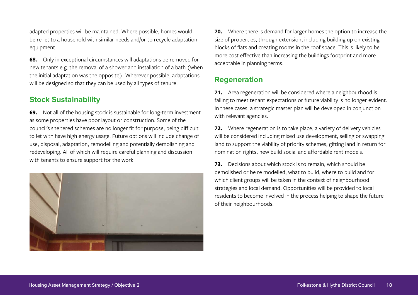adapted properties will be maintained. Where possible, homes would be re-let to a household with similar needs and/or to recycle adaptation equipment.

**68.** Only in exceptional circumstances will adaptations be removed for new tenants e.g. the removal of a shower and installation of a bath (when the initial adaptation was the opposite). Wherever possible, adaptations will be designed so that they can be used by all types of tenure.

### **Stock Sustainability**

**69.** Not all of the housing stock is sustainable for long-term investment as some properties have poor layout or construction. Some of the council's sheltered schemes are no longer fit for purpose, being difficult to let with have high energy usage. Future options will include change of use, disposal, adaptation, remodelling and potentially demolishing and redeveloping. All of which will require careful planning and discussion with tenants to ensure support for the work.



**70.** Where there is demand for larger homes the option to increase the size of properties, through extension, including building up on existing blocks of flats and creating rooms in the roof space. This is likely to be more cost effective than increasing the buildings footprint and more acceptable in planning terms.

### **Regeneration**

**71.** Area regeneration will be considered where a neighbourhood is failing to meet tenant expectations or future viability is no longer evident. In these cases, a strategic master plan will be developed in conjunction with relevant agencies.

**72.** Where regeneration is to take place, a variety of delivery vehicles will be considered including mixed use development, selling or swapping land to support the viability of priority schemes, gifting land in return for nomination rights, new build social and affordable rent models.

**73.** Decisions about which stock is to remain, which should be demolished or be re modelled, what to build, where to build and for which client groups will be taken in the context of neighbourhood strategies and local demand. Opportunities will be provided to local residents to become involved in the process helping to shape the future of their neighbourhoods.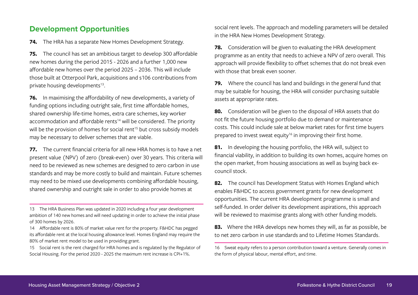### **Development Opportunities**

**74.** The HRA has a separate New Homes Development Strategy.

**75.** The council has set an ambitious target to develop 300 affordable new homes during the period 2015 - 2026 and a further 1,000 new affordable new homes over the period 2025 – 2036. This will include those built at Otterpool Park, acquisitions and s106 contributions from private housing developments<sup>13</sup>.

**76.** In maximising the affordability of new developments, a variety of funding options including outright sale, first time affordable homes, shared ownership life-time homes, extra care schemes, key worker accommodation and affordable rents<sup>14</sup> will be considered. The priority will be the provision of homes for social rent<sup>15</sup> but cross subsidy models may be necessary to deliver schemes that are viable.

**77.** The current financial criteria for all new HRA homes is to have a net present value (NPV) of zero (break-even) over 30 years. This criteria will need to be reviewed as new schemes are designed to zero carbon in use standards and may be more costly to build and maintain. Future schemes may need to be mixed use developments combining affordable housing, shared ownership and outright sale in order to also provide homes at

social rent levels. The approach and modelling parameters will be detailed in the HRA New Homes Development Strategy.

**78.** Consideration will be given to evaluating the HRA development programme as an entity that needs to achieve a NPV of zero overall. This approach will provide flexibility to offset schemes that do not break even with those that break even sooner.

**79.** Where the council has land and buildings in the general fund that may be suitable for housing, the HRA will consider purchasing suitable assets at appropriate rates.

**80.** Consideration will be given to the disposal of HRA assets that do not fit the future housing portfolio due to demand or maintenance costs. This could include sale at below market rates for first time buyers prepared to invest sweat equity<sup>16</sup> in improving their first home.

**81.** In developing the housing portfolio, the HRA will, subject to financial viability, in addition to building its own homes, acquire homes on the open market, from housing associations as well as buying back excouncil stock.

**82.** The council has Development Status with Homes England which enables F&HDC to access government grants for new development opportunities. The current HRA development programme is small and self-funded. In order deliver its development aspirations, this approach will be reviewed to maximise grants along with other funding models.

**83.** Where the HRA develops new homes they will, as far as possible, be to net zero carbon in use standards and to Lifetime Homes Standards.

<sup>13</sup> The HRA Business Plan was updated in 2020 including a four year development ambition of 140 new homes and will need updating in order to achieve the initial phase of 300 homes by 2026.

<sup>14</sup> Affordable rent is 80% of market value rent for the property. F&HDC has pegged its affordable rent at the local housing allowance level. Homes England may require the 80% of market rent model to be used in providing grant.

<sup>15</sup> Social rent is the rent charged for HRA homes and is regulated by the Regulator of Social Housing. For the period 2020 - 2025 the maximum rent increase is CPI+1%.

<sup>16</sup> Sweat equity refers to a person contribution toward a venture. Generally comes in the form of physical labour, mental effort, and time.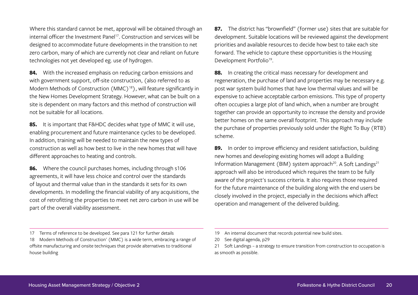Where this standard cannot be met, approval will be obtained through an internal officer the Investment Panel<sup>17</sup>. Construction and services will be designed to accommodate future developments in the transition to net zero carbon, many of which are currently not clear and reliant on future technologies not yet developed eg. use of hydrogen.

**84.** With the increased emphasis on reducing carbon emissions and with government support, off-site construction, (also referred to as Modern Methods of Construction (MMC)<sup>18</sup>), will feature significantly in the New Homes Development Strategy. However, what can be built on a site is dependent on many factors and this method of construction will not be suitable for all locations.

**85.** It is important that F&HDC decides what type of MMC it will use, enabling procurement and future maintenance cycles to be developed. In addition, training will be needed to maintain the new types of construction as well as how best to live in the new homes that will have different approaches to heating and controls.

**86.** Where the council purchases homes, including through s106 agreements, it will have less choice and control over the standards of layout and thermal value than in the standards it sets for its own developments. In modelling the financial viability of any acquisitions, the cost of retrofitting the properties to meet net zero carbon in use will be part of the overall viability assessment.

**87.** The district has "brownfield" (former use) sites that are suitable for development. Suitable locations will be reviewed against the development priorities and available resources to decide how best to take each site forward. The vehicle to capture these opportunities is the Housing Development Portfolio<sup>19</sup>.

**88.** In creating the critical mass necessary for development and regeneration, the purchase of land and properties may be necessary e.g. post war system build homes that have low thermal values and will be expensive to achieve acceptable carbon emissions. This type of property often occupies a large plot of land which, when a number are brought together can provide an opportunity to increase the density and provide better homes on the same overall footprint. This approach may include the purchase of properties previously sold under the Right To Buy (RTB) scheme.

**89.** In order to improve efficiency and resident satisfaction, building new homes and developing existing homes will adopt a Building Information Management (BIM) system approach<sup>20</sup>. A Soft Landings<sup>21</sup> approach will also be introduced which requires the team to be fully aware of the project's success criteria. It also requires those required for the future maintenance of the building along with the end users be closely involved in the project, especially in the decisions which affect operation and management of the delivered building.

<sup>17</sup> Terms of reference to be developed. See para 121 for further details

<sup>18</sup> Modern Methods of Construction' (MMC) is a wide term, embracing a range of offsite manufacturing and onsite techniques that provide alternatives to traditional house building

<sup>19</sup> An internal document that records potential new build sites.

<sup>20</sup> See digital agenda, p29

<sup>21</sup> Soft Landings – a strategy to ensure transition from construction to occupation is as smooth as possible.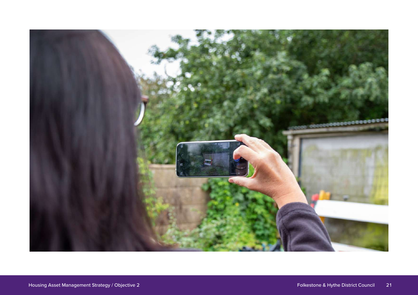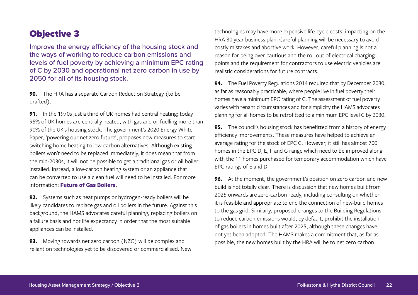# <span id="page-21-0"></span>Objective 3

Improve the energy efficiency of the housing stock and the ways of working to reduce carbon emissions and levels of fuel poverty by achieving a minimum EPC rating of C by 2030 and operational net zero carbon in use by 2050 for all of its housing stock.

**90.** The HRA has a separate Carbon Reduction Strategy (to be drafted).

**91.** In the 1970s just a third of UK homes had central heating; today 95% of UK homes are centrally heated, with gas and oil fuelling more than 90% of the UK's housing stock. The government's 2020 Energy White Paper, 'powering our net zero future', proposes new measures to start switching home heating to low-carbon alternatives. Although existing boilers won't need to be replaced immediately, it does mean that from the mid-2030s, it will not be possible to get a traditional gas or oil boiler installed. Instead, a low-carbon heating system or an appliance that can be converted to use a clean fuel will need to be installed. For more information: **[Future of Gas Boilers](https://www.which.co.uk/news/2020/12/gas-boilers-banned-in-new-builds-from-2025-what-does-this-mean-for-you/).**

**92.** Systems such as heat pumps or hydrogen-ready boilers will be likely candidates to replace gas and oil boilers in the future. Against this background, the HAMS advocates careful planning, replacing boilers on a failure basis and not life expectancy in order that the most suitable appliances can be installed.

**93.** Moving towards net zero carbon (NZC) will be complex and reliant on technologies yet to be discovered or commercialised. New technologies may have more expensive life-cycle costs, impacting on the HRA 30 year business plan. Careful planning will be necessary to avoid costly mistakes and abortive work. However, careful planning is not a reason for being over cautious and the roll out of electrical charging points and the requirement for contractors to use electric vehicles are realistic considerations for future contracts.

**94.** The Fuel Poverty Regulations 2014 required that by December 2030, as far as reasonably practicable, where people live in fuel poverty their homes have a minimum EPC rating of C. The assessment of fuel poverty varies with tenant circumstances and for simplicity the HAMS advocates planning for all homes to be retrofitted to a minimum EPC level C by 2030.

**95.** The council's housing stock has benefitted from a history of energy efficiency improvements. These measures have helped to achieve an average rating for the stock of EPC C. However, it still has almost 700 homes in the EPC D, E, F and G range which need to be improved along with the 11 homes purchased for temporary accommodation which have EPC ratings of E and D.

**96.** At the moment, the government's position on zero carbon and new build is not totally clear. There is discussion that new homes built from 2025 onwards are zero-carbon ready, including consulting on whether it is feasible and appropriate to end the connection of new-build homes to the gas grid. Similarly, proposed changes to the Building Regulations to reduce carbon emissions would, by default, prohibit the installation of gas boilers in homes built after 2025, although these changes have not yet been adopted. The HAMS makes a commitment that, as far as possible, the new homes built by the HRA will be to net zero carbon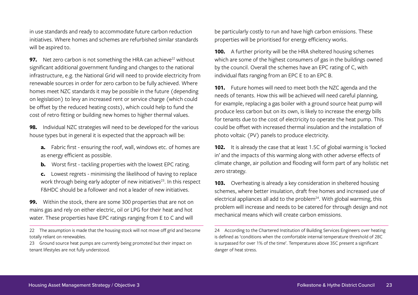in use standards and ready to accommodate future carbon reduction initiatives. Where homes and schemes are refurbished similar standards will be aspired to.

**97.** Net zero carbon is not something the HRA can achieve<sup>22</sup> without significant additional government funding and changes to the national infrastructure, e.g. the National Grid will need to provide electricity from renewable sources in order for zero carbon to be fully achieved. Where homes meet NZC standards it may be possible in the future (depending on legislation) to levy an increased rent or service charge (which could be offset by the reduced heating costs), which could help to fund the cost of retro fitting or building new homes to higher thermal values.

**98.** Individual NZC strategies will need to be developed for the various house types but in general it is expected that the approach will be:

- **a.** Fabric first ensuring the roof, wall, windows etc. of homes are as energy efficient as possible.
- **b.** Worst first tackling properties with the lowest EPC rating.
- **c.** Lowest regrets minimising the likelihood of having to replace work through being early adopter of new initiatives<sup>23</sup>. In this respect F&HDC should be a follower and not a leader of new initiatives.

**99.** Within the stock, there are some 300 properties that are not on mains gas and rely on either electric, oil or LPG for their heat and hot water. These properties have EPC ratings ranging from E to C and will

22 The assumption is made that the housing stock will not move off grid and become totally reliant on renewables.

23 Ground source heat pumps are currently being promoted but their impact on tenant lifestyles are not fully understood.

be particularly costly to run and have high carbon emissions. These properties will be prioritised for energy efficiency works.

**100.** A further priority will be the HRA sheltered housing schemes which are some of the highest consumers of gas in the buildings owned by the council. Overall the schemes have an EPC rating of C, with individual flats ranging from an EPC E to an EPC B.

**101.** Future homes will need to meet both the NZC agenda and the needs of tenants. How this will be achieved will need careful planning, for example, replacing a gas boiler with a ground source heat pump will produce less carbon but on its own, is likely to increase the energy bills for tenants due to the cost of electricity to operate the heat pump. This could be offset with increased thermal insulation and the installation of photo voltaic (PV) panels to produce electricity.

**102.** It is already the case that at least 1.5C of global warming is 'locked in' and the impacts of this warming along with other adverse effects of climate change, air pollution and flooding will form part of any holistic net zero strategy.

**103.** Overheating is already a key consideration in sheltered housing schemes, where better insulation, draft free homes and increased use of electrical appliances all add to the problem<sup>24</sup>. With global warming, this problem will increase and needs to be catered for through design and not mechanical means which will create carbon emissions.

24 According to the Chartered Institution of Building Services Engineers over heating is defined as 'conditions when the comfortable internal temperature threshold of 28C is surpassed for over 1% of the time'. Temperatures above 35C present a significant danger of heat stress.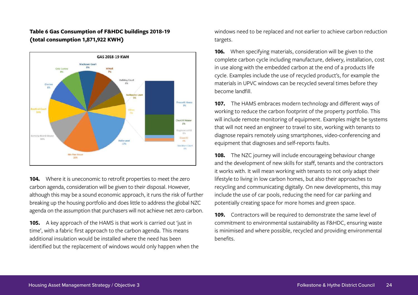#### **Table 6 Gas Consumption of F&HDC buildings 2018-19 (total consumption 1,871,922 KWH)**



**104.** Where it is uneconomic to retrofit properties to meet the zero carbon agenda, consideration will be given to their disposal. However, although this may be a sound economic approach, it runs the risk of further breaking up the housing portfolio and does little to address the global NZC agenda on the assumption that purchasers will not achieve net zero carbon.

**105.** A key approach of the HAMS is that work is carried out 'just in time', with a fabric first approach to the carbon agenda. This means additional insulation would be installed where the need has been identified but the replacement of windows would only happen when the windows need to be replaced and not earlier to achieve carbon reduction targets.

**106.** When specifying materials, consideration will be given to the complete carbon cycle including manufacture, delivery, installation, cost in use along with the embedded carbon at the end of a products life cycle. Examples include the use of recycled product's, for example the materials in UPVC windows can be recycled several times before they become landfill.

**107.** The HAMS embraces modern technology and different ways of working to reduce the carbon footprint of the property portfolio. This will include remote monitoring of equipment. Examples might be systems that will not need an engineer to travel to site, working with tenants to diagnose repairs remotely using smartphones, video-conferencing and equipment that diagnoses and self-reports faults.

**108.** The NZC journey will include encourageing behaviour change and the development of new skills for staff, tenants and the contractors it works with. It will mean working with tenants to not only adapt their lifestyle to living in low carbon homes, but also their approaches to recycling and communicating digitally. On new developments, this may include the use of car pools, reducing the need for car parking and potentially creating space for more homes and green space.

**109.** Contractors will be required to demonstrate the same level of commitment to environmental sustainability as F&HDC, ensuring waste is minimised and where possible, recycled and providing environmental benefits.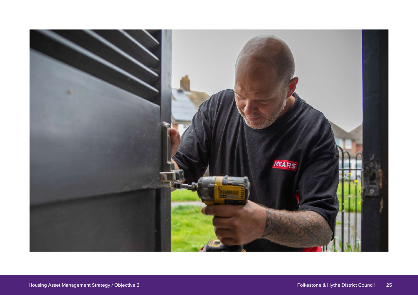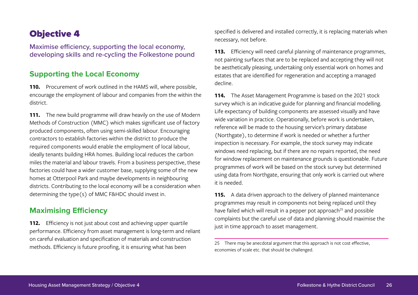# <span id="page-25-0"></span>Objective 4

Maximise efficiency, supporting the local economy, developing skills and re-cycling the Folkestone pound

### **Supporting the Local Economy**

**110.** Procurement of work outlined in the HAMS will, where possible, encourage the employment of labour and companies from the within the district.

**111.** The new build programme will draw heavily on the use of Modern Methods of Construction (MMC) which makes significant use of factory produced components, often using semi-skilled labour. Encouraging contractors to establish factories within the district to produce the required components would enable the employment of local labour, ideally tenants building HRA homes. Building local reduces the carbon miles the material and labour travels. From a business perspective, these factories could have a wider customer base, supplying some of the new homes at Otterpool Park and maybe developments in neighbouring districts. Contributing to the local economy will be a consideration when determining the type(s) of MMC F&HDC should invest in.

### **Maximising Efficiency**

**112.** Efficiency is not just about cost and achieving upper quartile performance. Efficiency from asset management is long-term and reliant on careful evaluation and specification of materials and construction methods. Efficiency is future proofing, it is ensuring what has been

specified is delivered and installed correctly, it is replacing materials when necessary, not before.

**113.** Efficiency will need careful planning of maintenance programmes, not painting surfaces that are to be replaced and accepting they will not be aesthetically pleasing, undertaking only essential work on homes and estates that are identified for regeneration and accepting a managed decline.

**114.** The Asset Management Programme is based on the 2021 stock survey which is an indicative guide for planning and financial modelling. Life expectancy of building components are assessed visually and have wide variation in practice. Operationally, before work is undertaken, reference will be made to the housing service's primary database (Northgate), to determine if work is needed or whether a further inspection is necessary. For example, the stock survey may indicate windows need replacing, but if there are no repairs reported, the need for window replacement on maintenance grounds is questionable. Future programmes of work will be based on the stock survey but determined using data from Northgate, ensuring that only work is carried out where it is needed.

**115.** A data driven approach to the delivery of planned maintenance programmes may result in components not being replaced until they have failed which will result in a pepper pot approach<sup>25</sup> and possible complaints but the careful use of data and planning should maximise the just in time approach to asset management.

<sup>25</sup> There may be anecdotal argument that this approach is not cost effective, economies of scale etc. that should be challenged.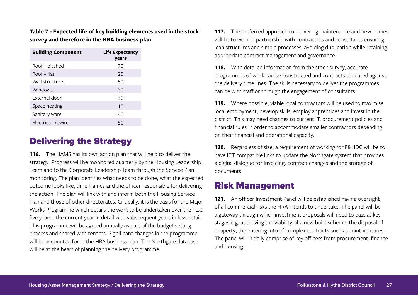<span id="page-26-0"></span>**Table 7 - Expected life of key building elements used in the stock survey and therefore in the HRA business plan**

| <b>Building Component</b> | <b>Life Expectancy</b><br>years |
|---------------------------|---------------------------------|
| Roof - pitched            | 70                              |
| Roof – flat               | 25                              |
| Wall structure            | 50                              |
| Windows                   | 30                              |
| External door             | 30                              |
| Space heating             | 15                              |
| Sanitary ware             | 40                              |
| Flectrics - rewire        | 50                              |

### Delivering the Strategy

**116.** The HAMS has its own action plan that will help to deliver the strategy. Progress will be monitored quarterly by the Housing Leadership Team and to the Corporate Leadership Team through the Service Plan monitoring. The plan identifies what needs to be done, what the expected outcome looks like, time frames and the officer responsible for delivering the action. The plan will link with and inform both the Housing Service Plan and those of other directorates. Critically, it is the basis for the Major Works Programme which details the work to be undertaken over the next five years - the current year in detail with subseequent years in less detail. This programme will be agreed annually as part of the budget setting process and shared with tenants. Significant changes in the programme will be accounted for in the HRA business plan. The Northgate database will be at the heart of planning the delivery programme.

**117.** The preferred approach to delivering maintenance and new homes will be to work in partnership with contractors and consultants ensuring lean structures and simple processes, avoiding duplication while retaining appropriate contract management and governance.

**118.** With detailed information from the stock survey, accurate programmes of work can be constructed and contracts procured against the delivery time lines. The skills necessary to deliver the programmes can be with staff or through the engagement of consultants.

**119.** Where possible, viable local contractors will be used to maximise local employment, develop skills, employ apprentices and invest in the district. This may need changes to current IT, procurement policies and financial rules in order to accommodate smaller contractors depending on their financial and operational capacity.

**120.** Regardless of size, a requirement of working for F&HDC will be to have ICT compatible links to update the Northgate system that provides a digital dialogue for invoicing, contract changes and the storage of documents.

### Risk Management

**121.** An officer Investment Panel will be established having oversight of all commercial risks the HRA intends to undertake. The panel will be a gateway through which investment proposals will need to pass at key stages e.g. approving the viability of a new build scheme; the disposal of property; the entering into of complex contracts such as Joint Ventures. The panel will initially comprise of key officers from procurement, finance and housing.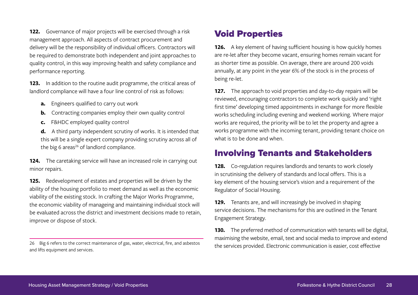<span id="page-27-0"></span>**122.** Governance of major projects will be exercised through a risk management approach. All aspects of contract procurement and delivery will be the responsibility of individual officers. Contractors will be required to demonstrate both independent and joint approaches to quality control, in this way improving health and safety compliance and performance reporting.

**123.** In addition to the routine audit programme, the critical areas of landlord compliance will have a four line control of risk as follows:

- **a.** Engineers qualified to carry out work
- **b.** Contracting companies employ their own quality control
- **c.** F&HDC employed quality control
- **d.** A third party independent scrutiny of works. It is intended that this will be a single expert company providing scrutiny across all of the big 6 areas<sup>26</sup> of landlord compliance.

**124.** The caretaking service will have an increased role in carrying out minor repairs.

**125.** Redevelopment of estates and properties will be driven by the ability of the housing portfolio to meet demand as well as the economic viability of the existing stock. In crafting the Major Works Programme, the economic viability of manageing and maintaining individual stock will be evaluated across the district and investment decisions made to retain, improve or dispose of stock.

26 Big 6 refers to the correct maintenance of gas, water, electrical, fire, and asbestos and lifts equipment and services.

# Void Properties

**126.** A key element of having sufficient housing is how quickly homes are re-let after they become vacant, ensuring homes remain vacant for as shorter time as possible. On average, there are around 200 voids annually, at any point in the year 6% of the stock is in the process of being re-let.

**127.** The approach to void properties and day-to-day repairs will be reviewed, encouraging contractors to complete work quickly and 'right first time' developing timed appointments in exchange for more flexible works scheduling including evening and weekend working. Where major works are required, the priority will be to let the property and agree a works programme with the incoming tenant, providing tenant choice on what is to be done and when.

## Involving Tenants and Stakeholders

**128.** Co-regulation requires landlords and tenants to work closely in scrutinising the delivery of standards and local offers. This is a key element of the housing service's vision and a requirement of the Regulator of Social Housing.

**129.** Tenants are, and will increasingly be involved in shaping service decisions. The mechanisms for this are outlined in the Tenant Engagement Strategy.

**130.** The preferred method of communication with tenants will be digital, maximising the website, email, text and social media to improve and extend the services provided. Electronic communication is easier, cost effective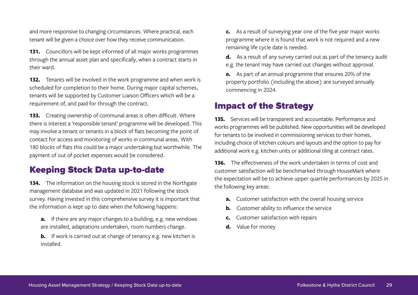<span id="page-28-0"></span>and more responsive to changing circumstances. Where practical, each tenant will be given a choice over how they receive communication.

**131.** Councillors will be kept informed of all major works programmes through the annual asset plan and specifically, when a contract starts in their ward.

**132.** Tenants will be involved in the work programme and when work is scheduled for completion to their home. During major capital schemes, tenants will be supported by Customer Liaison Officers which will be a requirement of, and paid for through the contract.

**133.** Creating ownership of communal areas is often difficult. Where there is interest a 'responsible tenant' programme will be developed. This may involve a tenant or tenants in a block of flats becoming the point of contact for access and monitoring of works in communal areas. With 180 blocks of flats this could be a major undertaking but worthwhile. The payment of out of pocket expenses would be considered.

### Keeping Stock Data up-to-date

**134.** The information on the housing stock is stored in the Northgate management database and was updated in 2021 following the stock survey. Having invested in this comprehensive survey it is important that the information is kept up to date when the following happens:

- **a.** If there are any major changes to a building, e.g. new windows are installed, adaptations undertaken, room numbers change.
- **b.** If work is carried out at change of tenancy e.g. new kitchen is installed.

**c.** As a result of surveying year one of the five year major works programme where it is found that work is not required and a new remaining life cycle date is needed.

**d.** As a result of any survey carried out as part of the tenancy audit e.g. the tenant may have carried out changes without approval.

**e.** As part of an annual programme that ensures 20% of the property portfolio (including the above) are surveyed annually commencing in 2024.

### Impact of the Strategy

**135.** Services will be transparent and accountable. Performance and works programmes will be published. New opportunities will be developed for tenants to be involved in commissioning services to their homes, including choice of kitchen colours and layouts and the option to pay for additional work e.g. kitchen units or additional tiling at contract rates.

**136.** The effectiveness of the work undertaken in terms of cost and customer satisfaction will be benchmarked through HouseMark where the expectation will be to achieve upper quartile performances by 2025 in the following key areas:

- **a.** Customer satisfaction with the overall housing service
- **b.** Customer ability to influence the service
- **c.** Customer satisfaction with repairs
- **d.** Value for money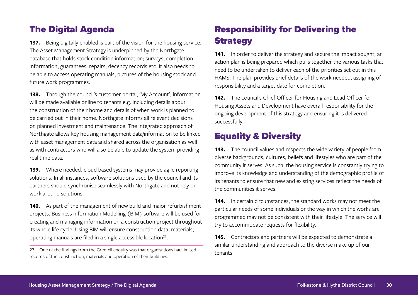### <span id="page-29-0"></span>The Digital Agenda

**137.** Being digitally enabled is part of the vision for the housing service. The Asset Management Strategy is underpinned by the Northgate database that holds stock condition information; surveys; completion information; guarantees; repairs; decency records etc. It also needs to be able to access operating manuals, pictures of the housing stock and future work programmes.

**138.** Through the council's customer portal, 'My Account', information will be made available online to tenants e.g. including details about the construction of their home and details of when work is planned to be carried out in their home. Northgate informs all relevant decisions on planned investment and maintenance. The integrated approach of Northgate allows key housing management data/information to be linked with asset management data and shared across the organisation as well as with contractors who will also be able to update the system providing real time data.

**139.** Where needed, cloud based systems may provide agile reporting solutions. In all instances, software solutions used by the council and its partners should synchronise seamlessly with Northgate and not rely on work around solutions.

**140.** As part of the management of new build and major refurbishment projects, Business Information Modelling (BIM) software will be used for creating and managing information on a construction project throughout its whole life cycle. Using BIM will ensure construction data, materials, operating manuals are filed in a single accessible location<sup>27</sup>.

# Responsibility for Delivering the Strategy

**141.** In order to deliver the strategy and secure the impact sought, an action plan is being prepared which pulls together the various tasks that need to be undertaken to deliver each of the priorities set out in this HAMS. The plan provides brief details of the work needed, assigning of responsibility and a target date for completion.

**142.** The council's Chief Officer for Housing and Lead Officer for Housing Assets and Development have overall responsibility for the ongoing development of this strategy and ensuring it is delivered successfully.

# Equality & Diversity

**143.** The council values and respects the wide variety of people from diverse backgrounds, cultures, beliefs and lifestyles who are part of the community it serves. As such, the housing service is constantly trying to improve its knowledge and understanding of the demographic profile of its tenants to ensure that new and existing services reflect the needs of the communities it serves.

**144.** In certain circumstances, the standard works may not meet the particular needs of some individuals or the way in which the works are programmed may not be consistent with their lifestyle. The service will try to accommodate requests for flexibility.

**145.** Contractors and partners will be expected to demonstrate a similar understanding and approach to the diverse make up of our tenants.

<sup>27</sup> One of the findings from the Grenfell enquiry was that organisations had limited records of the construction, materials and operation of their buildings.